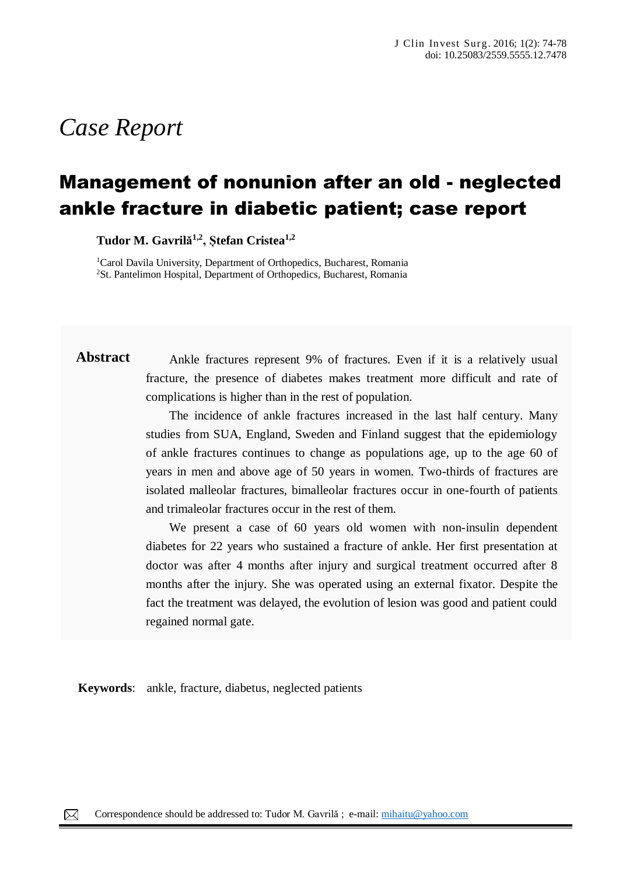# *Case Report*

## Management of nonunion after an old - neglected ankle fracture in diabetic patient; case report

**Tudor M. Gavrilă 1,2, Ștefan Cristea1,2**

<sup>1</sup>Carol Davila University, Department of Orthopedics, Bucharest, Romania <sup>2</sup>St. Pantelimon Hospital, Department of Orthopedics, Bucharest, Romania

Abstract Ankle fractures represent 9% of fractures. Even if it is a relatively usual fracture, the presence of diabetes makes treatment more difficult and rate of complications is higher than in the rest of population.

> The incidence of ankle fractures increased in the last half century. Many studies from SUA, England, Sweden and Finland suggest that the epidemiology of ankle fractures continues to change as populations age, up to the age 60 of years in men and above age of 50 years in women. Two-thirds of fractures are isolated malleolar fractures, bimalleolar fractures occur in one-fourth of patients and trimaleolar fractures occur in the rest of them.

> We present a case of 60 years old women with non-insulin dependent diabetes for 22 years who sustained a fracture of ankle. Her first presentation at doctor was after 4 months after injury and surgical treatment occurred after 8 months after the injury. She was operated using an external fixator. Despite the fact the treatment was delayed, the evolution of lesion was good and patient could regained normal gate.

**Keywords**: ankle, fracture, diabetus, neglected patients

**Case Report**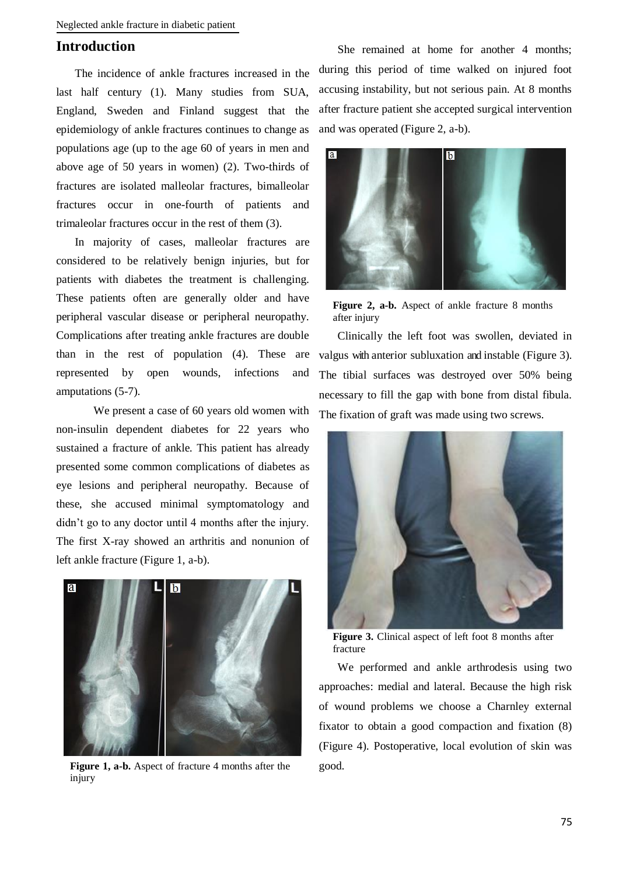## **Introduction**

The incidence of ankle fractures increased in the last half century (1). Many studies from SUA, England, Sweden and Finland suggest that the epidemiology of ankle fractures continues to change as populations age (up to the age 60 of years in men and above age of 50 years in women) (2). Two-thirds of fractures are isolated malleolar fractures, bimalleolar fractures occur in one-fourth of patients and trimaleolar fractures occur in the rest of them (3).

In majority of cases, malleolar fractures are considered to be relatively benign injuries, but for patients with diabetes the treatment is challenging. These patients often are generally older and have peripheral vascular disease or peripheral neuropathy. Complications after treating ankle fractures are double than in the rest of population (4). These are represented by open wounds, infections and amputations (5-7).

We present a case of 60 years old women with non-insulin dependent diabetes for 22 years who sustained a fracture of ankle. This patient has already presented some common complications of diabetes as eye lesions and peripheral neuropathy. Because of these, she accused minimal symptomatology and didn't go to any doctor until 4 months after the injury. The first X-ray showed an arthritis and nonunion of left ankle fracture (Figure 1, a-b).



Figure 1, a-b. Aspect of fracture 4 months after the injury

She remained at home for another 4 months; during this period of time walked on injured foot accusing instability, but not serious pain. At 8 months after fracture patient she accepted surgical intervention and was operated (Figure 2, a-b).



**Figure 2, a-b.** Aspect of ankle fracture 8 months after injury

Clinically the left foot was swollen, deviated in valgus with anterior subluxation and instable (Figure 3). The tibial surfaces was destroyed over 50% being necessary to fill the gap with bone from distal fibula. The fixation of graft was made using two screws.



**Figure 3.** Clinical aspect of left foot 8 months after fracture

We performed and ankle arthrodesis using two approaches: medial and lateral. Because the high risk of wound problems we choose a Charnley external fixator to obtain a good compaction and fixation (8) (Figure 4). Postoperative, local evolution of skin was good.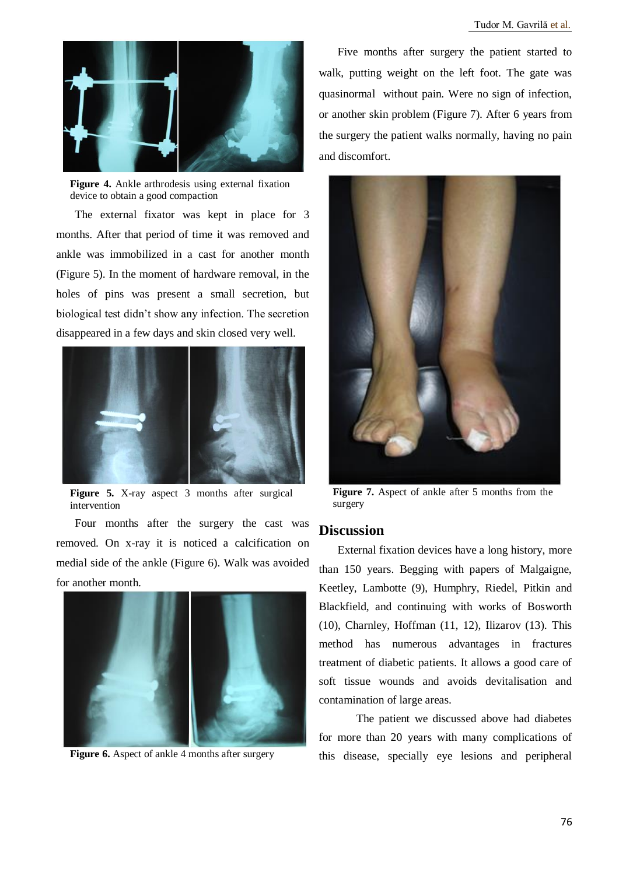

**Figure 4.** Ankle arthrodesis using external fixation device to obtain a good compaction

The external fixator was kept in place for 3 months. After that period of time it was removed and ankle was immobilized in a cast for another month (Figure 5). In the moment of hardware removal, in the holes of pins was present a small secretion, but biological test didn't show any infection. The secretion disappeared in a few days and skin closed very well.



**Figure 5.** X-ray aspect 3 months after surgical intervention

Four months after the surgery the cast was removed. On x-ray it is noticed a calcification on medial side of the ankle (Figure 6). Walk was avoided for another month.



Figure 6. Aspect of ankle 4 months after surgery

Five months after surgery the patient started to walk, putting weight on the left foot. The gate was quasinormal without pain. Were no sign of infection, or another skin problem (Figure 7). After 6 years from the surgery the patient walks normally, having no pain and discomfort.



**Figure 7.** Aspect of ankle after 5 months from the surgery

## **Discussion**

External fixation devices have a long history, more than 150 years. Begging with papers of Malgaigne, Keetley, Lambotte (9), Humphry, Riedel, Pitkin and Blackfield, and continuing with works of Bosworth (10), Charnley, Hoffman (11, 12), Ilizarov (13). This method has numerous advantages in fractures treatment of diabetic patients. It allows a good care of soft tissue wounds and avoids devitalisation and contamination of large areas.

The patient we discussed above had diabetes for more than 20 years with many complications of this disease, specially eye lesions and peripheral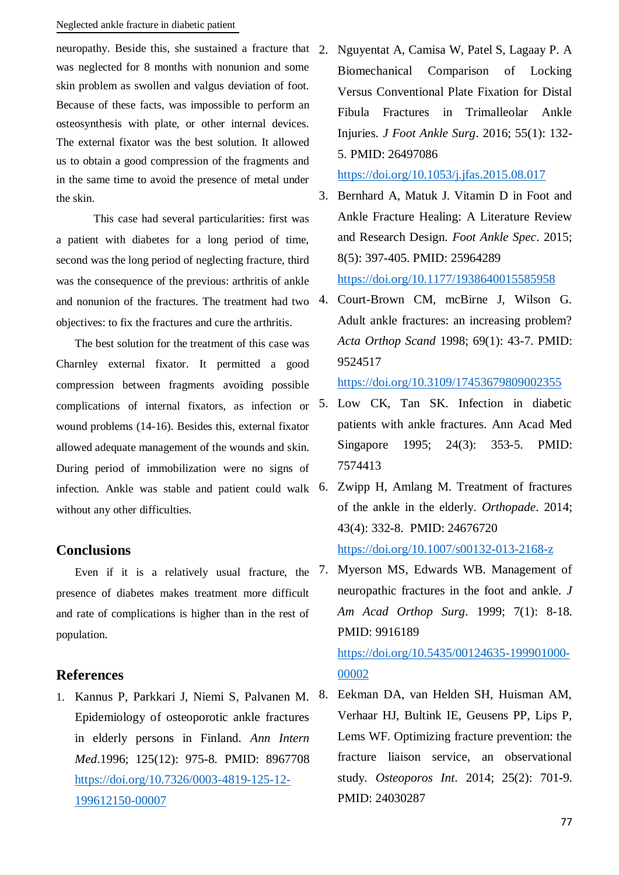#### Neglected ankle fracture in diabetic patient

neuropathy. Beside this, she sustained a fracture that 2. Nguyentat A, Camisa W, Patel S, Lagaay P. A was neglected for 8 months with nonunion and some skin problem as swollen and valgus deviation of foot. Because of these facts, was impossible to perform an osteosynthesis with plate, or other internal devices. The external fixator was the best solution. It allowed us to obtain a good compression of the fragments and in the same time to avoid the presence of metal under the skin.

This case had several particularities: first was a patient with diabetes for a long period of time, second was the long period of neglecting fracture, third was the consequence of the previous: arthritis of ankle and nonunion of the fractures. The treatment had two  $4$ . objectives: to fix the fractures and cure the arthritis.

The best solution for the treatment of this case was Charnley external fixator. It permitted a good compression between fragments avoiding possible complications of internal fixators, as infection or 5. wound problems (14-16). Besides this, external fixator allowed adequate management of the wounds and skin. During period of immobilization were no signs of infection. Ankle was stable and patient could walk without any other difficulties.

## **Conclusions**

Even if it is a relatively usual fracture, the  $7$ . presence of diabetes makes treatment more difficult and rate of complications is higher than in the rest of population.

## **References**

1. Kannus P, Parkkari J, Niemi S, Palvanen M. Epidemiology of osteoporotic ankle fractures in elderly persons in Finland. *Ann Intern Med*.1996; 125(12): 975-8. PMID: 8967708 [https://doi.org/10.7326/0003-4819-125-12-](https://doi.org/10.7326/0003-4819-125-12-199612150-00007) [199612150-00007](https://doi.org/10.7326/0003-4819-125-12-199612150-00007)

Biomechanical Comparison of Locking Versus Conventional Plate Fixation for Distal Fibula Fractures in Trimalleolar Ankle Injuries. *J Foot Ankle Surg*. 2016; 55(1): 132- 5. PMID: 26497086

<https://doi.org/10.1053/j.jfas.2015.08.017>

- 3. Bernhard A, Matuk J. Vitamin D in Foot and Ankle Fracture Healing: A Literature Review and Research Design. *Foot Ankle Spec*. 2015; 8(5): 397-405. PMID: 25964289 <https://doi.org/10.1177/1938640015585958>
- 4. Court-Brown CM, mcBirne J, Wilson G. Adult ankle fractures: an increasing problem? *Acta Orthop Scand* 1998; 69(1): 43-7. PMID: 9524517

<https://doi.org/10.3109/17453679809002355>

- 5. Low CK, Tan SK. Infection in diabetic patients with ankle fractures. Ann Acad Med Singapore 1995; 24(3): 353-5. PMID: 7574413
- 6. Zwipp H, Amlang M. Treatment of fractures of the ankle in the elderly. *Orthopade*. 2014; 43(4): 332-8. PMID: 24676720 <https://doi.org/10.1007/s00132-013-2168-z>
- 7. Myerson MS, Edwards WB. Management of neuropathic fractures in the foot and ankle. *J Am Acad Orthop Surg*. 1999; 7(1): 8-18. PMID: 9916189 [https://doi.org/10.5435/00124635-199901000-](https://doi.org/10.5435/00124635-199901000-00002)

[00002](https://doi.org/10.5435/00124635-199901000-00002)

8. Eekman DA, van Helden SH, Huisman AM, Verhaar HJ, Bultink IE, Geusens PP, Lips P, Lems WF. Optimizing fracture prevention: the fracture liaison service, an observational study. *Osteoporos Int*. 2014; 25(2): 701-9. PMID: 24030287